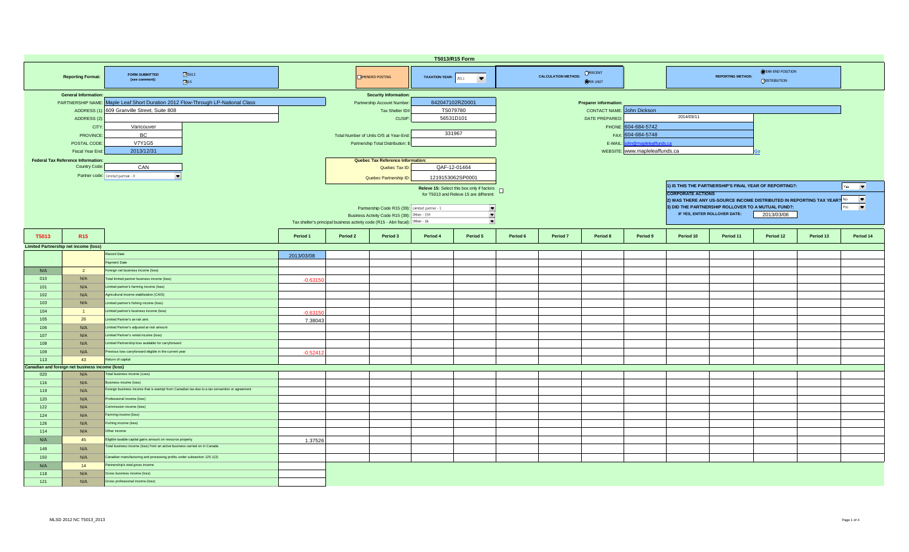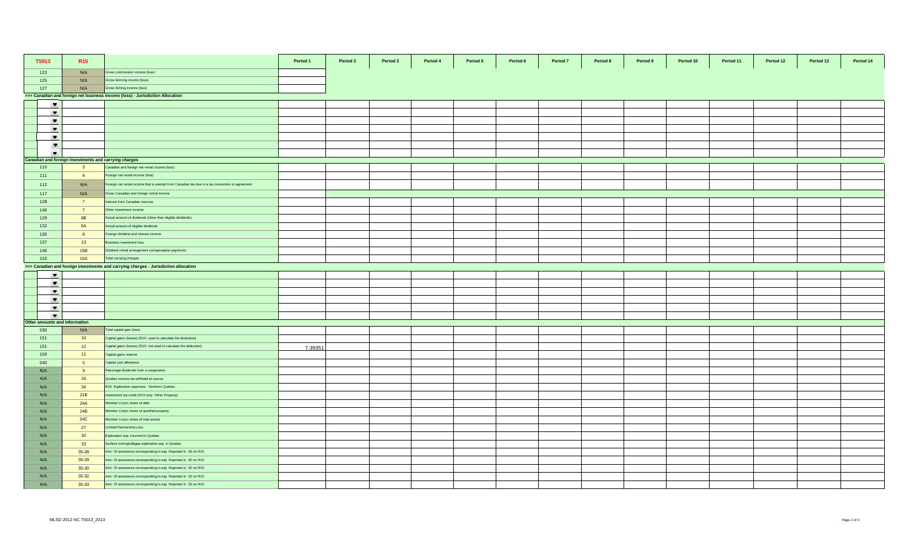| T5013                         | R <sub>15</sub>                                       |                                                                                                 | Period 1 | Period 2 | Period 3 | Period 4 | Period 5 | Period 6 | Period 7 | Period 8 | Period 9 | Period 10 | Period 11 | Period 12 | Period 13 | Period 14 |
|-------------------------------|-------------------------------------------------------|-------------------------------------------------------------------------------------------------|----------|----------|----------|----------|----------|----------|----------|----------|----------|-----------|-----------|-----------|-----------|-----------|
| 123                           | <b>BASE SE</b>                                        | Gross commission income (loss)                                                                  |          |          |          |          |          |          |          |          |          |           |           |           |           |           |
| 125                           | <b>BALLA</b>                                          | Gross farming income (loss)                                                                     |          |          |          |          |          |          |          |          |          |           |           |           |           |           |
| 127                           | <b>Barat</b>                                          | Gross fishing income (loss)                                                                     |          |          |          |          |          |          |          |          |          |           |           |           |           |           |
|                               |                                                       | >>> Canadian and foreign net business income (loss) - Jurisdiction Allocation                   |          |          |          |          |          |          |          |          |          |           |           |           |           |           |
| $\overline{\phantom{a}}$      |                                                       |                                                                                                 |          |          |          |          |          |          |          |          |          |           |           |           |           |           |
| $\blacktriangledown$          |                                                       |                                                                                                 |          |          |          |          |          |          |          |          |          |           |           |           |           |           |
| $\blacktriangledown$          |                                                       |                                                                                                 |          |          |          |          |          |          |          |          |          |           |           |           |           |           |
| $\overline{\phantom{a}}$      |                                                       |                                                                                                 |          |          |          |          |          |          |          |          |          |           |           |           |           |           |
| $\blacktriangledown$          |                                                       |                                                                                                 |          |          |          |          |          |          |          |          |          |           |           |           |           |           |
| $\overline{\phantom{a}}$      |                                                       |                                                                                                 |          |          |          |          |          |          |          |          |          |           |           |           |           |           |
| $\overline{\phantom{a}}$      |                                                       |                                                                                                 |          |          |          |          |          |          |          |          |          |           |           |           |           |           |
|                               | Canadian and foreign investments and carrying charges |                                                                                                 |          |          |          |          |          |          |          |          |          |           |           |           |           |           |
| 110                           | $\overline{\mathbf{3}}$                               | Canadian and foreign net rental income (loss)                                                   |          |          |          |          |          |          |          |          |          |           |           |           |           |           |
| 111                           | $\overline{4}$                                        | Foreign net rental income (loss)                                                                |          |          |          |          |          |          |          |          |          |           |           |           |           |           |
| 112                           | <u>mariti</u>                                         | Foreign net rental income that is exempt from Canadian tax due to a tax convention or agreement |          |          |          |          |          |          |          |          |          |           |           |           |           |           |
| 117                           | nsis K                                                | Gross Canadian and foreign rental income                                                        |          |          |          |          |          |          |          |          |          |           |           |           |           |           |
| 128                           | $\overline{7}$                                        | Interest from Canadian sources                                                                  |          |          |          |          |          |          |          |          |          |           |           |           |           |           |
| 146                           | $\overline{7}$                                        | Other investment income                                                                         |          |          |          |          |          |          |          |          |          |           |           |           |           |           |
| 129                           | 6 <b>B</b>                                            | Actual amount of dividends (other than eligible dividends)                                      |          |          |          |          |          |          |          |          |          |           |           |           |           |           |
| 132                           | 6A                                                    | Actual amount of eligible dividends                                                             |          |          |          |          |          |          |          |          |          |           |           |           |           |           |
| 135                           | 8                                                     | Foreign dividend and interest income                                                            |          |          |          |          |          |          |          |          |          |           |           |           |           |           |
| 137                           | 13                                                    | <b>Business investment loss</b>                                                                 |          |          |          |          |          |          |          |          |          |           |           |           |           |           |
| 145                           | 15B                                                   | Dividend rental arrangement compensation payments                                               |          |          |          |          |          |          |          |          |          |           |           |           |           |           |
| 210                           | 15A                                                   | Total carrying charges                                                                          |          |          |          |          |          |          |          |          |          |           |           |           |           |           |
|                               |                                                       | >>> Canadian and foreign investments and carrying charges - Jurisdiction allocation             |          |          |          |          |          |          |          |          |          |           |           |           |           |           |
| $\blacktriangledown$          |                                                       |                                                                                                 |          |          |          |          |          |          |          |          |          |           |           |           |           |           |
| $\overline{\phantom{a}}$      |                                                       |                                                                                                 |          |          |          |          |          |          |          |          |          |           |           |           |           |           |
| $\blacktriangledown$          |                                                       |                                                                                                 |          |          |          |          |          |          |          |          |          |           |           |           |           |           |
| $\blacktriangledown$          |                                                       |                                                                                                 |          |          |          |          |          |          |          |          |          |           |           |           |           |           |
| $\blacktriangledown$          |                                                       |                                                                                                 |          |          |          |          |          |          |          |          |          |           |           |           |           |           |
| $\blacktriangledown$          |                                                       |                                                                                                 |          |          |          |          |          |          |          |          |          |           |           |           |           |           |
| Other amounts and information |                                                       |                                                                                                 |          |          |          |          |          |          |          |          |          |           |           |           |           |           |
| 030                           | <u> Karatik I</u>                                     | Total capital gain (loss)                                                                       |          |          |          |          |          |          |          |          |          |           |           |           |           |           |
| 151                           | 10                                                    | Capital gains (losses) [R15: used to calculate the deduction]                                   |          |          |          |          |          |          |          |          |          |           |           |           |           |           |
| 151                           | 12                                                    | Capital gains (losses) [R15: not used to calculate the deduction]                               | 7.39351  |          |          |          |          |          |          |          |          |           |           |           |           |           |
| 159                           | 11                                                    | Capital gains reserve                                                                           |          |          |          |          |          |          |          |          |          |           |           |           |           |           |
| 040                           | 5 <sup>5</sup>                                        | Capital cost allowance                                                                          |          |          |          |          |          |          |          |          |          |           |           |           |           |           |
| <b>BARA</b>                   | 9                                                     | Patronage dividends from a cooperative                                                          |          |          |          |          |          |          |          |          |          |           |           |           |           |           |
| <b>BARA</b>                   | 16                                                    | Quebec income tax withheld at source                                                            |          |          |          |          |          |          |          |          |          |           |           |           |           |           |
| <b>BARA</b>                   | 34                                                    | R15: Exploration expenses - Northern Quebec                                                     |          |          |          |          |          |          |          |          |          |           |           |           |           |           |
| <b>BARA</b>                   | 21B                                                   | nvestment tax credit (R15 only: Other Property)                                                 |          |          |          |          |          |          |          |          |          |           |           |           |           |           |
| BAS E                         | 24A                                                   | Member Corp's share of debt                                                                     |          |          |          |          |          |          |          |          |          |           |           |           |           |           |
| <b>BARA</b>                   | 24B                                                   | Member Corp's share of qualified property                                                       |          |          |          |          |          |          |          |          |          |           |           |           |           |           |
| BAS E                         | <b>24C</b>                                            | Member Corp's share of total assets                                                             |          |          |          |          |          |          |          |          |          |           |           |           |           |           |
| <u> Karati I</u>              | 27                                                    | Limited Partnership Loss                                                                        |          |          |          |          |          |          |          |          |          |           |           |           |           |           |
| BAS E                         | 32                                                    | Exploration exp. Incurred in Quebec                                                             |          |          |          |          |          |          |          |          |          |           |           |           |           |           |
| <b>BARA</b>                   | 33                                                    | Surface mining/oil&gas exploration exp. in Quebec                                               |          |          |          |          |          |          |          |          |          |           |           |           |           |           |
| <b>BARA</b>                   | 35-28                                                 | Amt. Of assistance corresponding to exp. Reported in 28 on R15                                  |          |          |          |          |          |          |          |          |          |           |           |           |           |           |
| <b>BARA</b>                   | 35-29                                                 | Amt. Of assistance corresponding to exp. Reported in 30 on R15                                  |          |          |          |          |          |          |          |          |          |           |           |           |           |           |
| <b>BARA</b>                   | 35-30                                                 | Amt. Of assistance corresponding to exp. Reported in 32 on R15                                  |          |          |          |          |          |          |          |          |          |           |           |           |           |           |
| BAS E                         | $35-32$                                               | Amt. Of assistance corresponding to exp. Reported in 33 on R15                                  |          |          |          |          |          |          |          |          |          |           |           |           |           |           |
| <b>BARA</b>                   | 35-33                                                 | Amt. Of assistance corresponding to exp. Reported in 33 on R15                                  |          |          |          |          |          |          |          |          |          |           |           |           |           |           |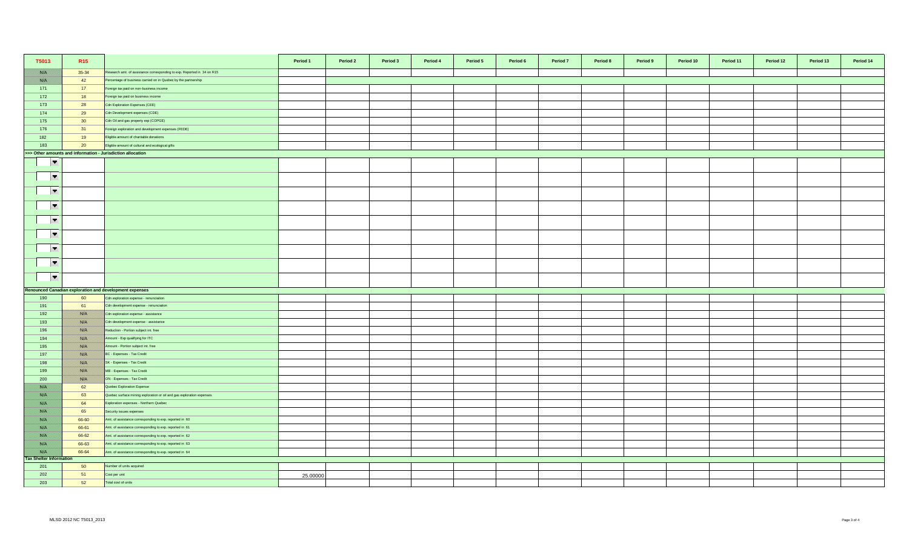| T5013                                                       | R <sub>15</sub>  |                                                                         | Period 1 | Period 2 | Period 3 | Period 4 | Period 5 | Period 6 | Period 7 | Period 8 | Period 9 | Period 10 | Period 11 | Period 12 | Period 13 | Period 14 |
|-------------------------------------------------------------|------------------|-------------------------------------------------------------------------|----------|----------|----------|----------|----------|----------|----------|----------|----------|-----------|-----------|-----------|-----------|-----------|
| <u> Birlik İ</u>                                            | 35-34            | Research amt. of assistance corresponding to exp. Reported in 34 on R15 |          |          |          |          |          |          |          |          |          |           |           |           |           |           |
| <b>BARA</b>                                                 | 42               | Percentage of business carried on in Quebec by the partnership          |          |          |          |          |          |          |          |          |          |           |           |           |           |           |
| 171                                                         | 17               | Foreign tax paid on non-business income                                 |          |          |          |          |          |          |          |          |          |           |           |           |           |           |
| 172                                                         | 18               | Foreign tax paid on business income                                     |          |          |          |          |          |          |          |          |          |           |           |           |           |           |
| 173                                                         | 28               | Cdn Exploration Expenses (CEE)                                          |          |          |          |          |          |          |          |          |          |           |           |           |           |           |
| 174                                                         | 29               | Cdn Development expenses (CDE)                                          |          |          |          |          |          |          |          |          |          |           |           |           |           |           |
| 175                                                         | 30               | Cdn Oil and gas property exp (COPGE)                                    |          |          |          |          |          |          |          |          |          |           |           |           |           |           |
| 176                                                         | 31               | Foreign exploration and development expenses (FEDE)                     |          |          |          |          |          |          |          |          |          |           |           |           |           |           |
| 182                                                         | 19               | Eligible amount of charitable donations                                 |          |          |          |          |          |          |          |          |          |           |           |           |           |           |
| 183                                                         | 20               | Eligible amount of cultural and ecological gifts                        |          |          |          |          |          |          |          |          |          |           |           |           |           |           |
| >>> Other amounts and information - Jurisdiction allocation |                  |                                                                         |          |          |          |          |          |          |          |          |          |           |           |           |           |           |
| $\overline{\phantom{a}}$                                    |                  |                                                                         |          |          |          |          |          |          |          |          |          |           |           |           |           |           |
|                                                             |                  |                                                                         |          |          |          |          |          |          |          |          |          |           |           |           |           |           |
| $\overline{\phantom{a}}$                                    |                  |                                                                         |          |          |          |          |          |          |          |          |          |           |           |           |           |           |
|                                                             |                  |                                                                         |          |          |          |          |          |          |          |          |          |           |           |           |           |           |
| $\overline{\phantom{a}}$                                    |                  |                                                                         |          |          |          |          |          |          |          |          |          |           |           |           |           |           |
| $\overline{\phantom{a}}$                                    |                  |                                                                         |          |          |          |          |          |          |          |          |          |           |           |           |           |           |
| $\overline{\phantom{a}}$                                    |                  |                                                                         |          |          |          |          |          |          |          |          |          |           |           |           |           |           |
| $\overline{\phantom{a}}$                                    |                  |                                                                         |          |          |          |          |          |          |          |          |          |           |           |           |           |           |
|                                                             |                  |                                                                         |          |          |          |          |          |          |          |          |          |           |           |           |           |           |
| $\overline{\phantom{a}}$                                    |                  |                                                                         |          |          |          |          |          |          |          |          |          |           |           |           |           |           |
| $\overline{\phantom{a}}$                                    |                  |                                                                         |          |          |          |          |          |          |          |          |          |           |           |           |           |           |
| $\overline{\phantom{a}}$                                    |                  |                                                                         |          |          |          |          |          |          |          |          |          |           |           |           |           |           |
|                                                             |                  | Renounced Canadian exploration and development expenses                 |          |          |          |          |          |          |          |          |          |           |           |           |           |           |
| 190                                                         | 60               | Cdn exploration expense - renunciation                                  |          |          |          |          |          |          |          |          |          |           |           |           |           |           |
| 191                                                         | 61               | Cdn development expense - renunciation                                  |          |          |          |          |          |          |          |          |          |           |           |           |           |           |
| 192                                                         | <b>BAY</b>       | Cdn exploration expense - assistance                                    |          |          |          |          |          |          |          |          |          |           |           |           |           |           |
| 193                                                         | <u> British</u>  | Cdn development expense - assistance                                    |          |          |          |          |          |          |          |          |          |           |           |           |           |           |
| 196                                                         | <b>BAY</b>       | Reduction - Portion subject int. free                                   |          |          |          |          |          |          |          |          |          |           |           |           |           |           |
| 194                                                         | <b>BARA</b>      | Amount - Exp qualifying for ITC                                         |          |          |          |          |          |          |          |          |          |           |           |           |           |           |
| 195                                                         | <u> Birthist</u> | Amount - Portion subject int. free                                      |          |          |          |          |          |          |          |          |          |           |           |           |           |           |
| 197                                                         | <b>BARA</b>      | BC - Expenses - Tax Credit                                              |          |          |          |          |          |          |          |          |          |           |           |           |           |           |
| 198                                                         | <u> Birthist</u> | SK - Expenses - Tax Credit                                              |          |          |          |          |          |          |          |          |          |           |           |           |           |           |
| 199                                                         | <b>BAYA</b>      | MB - Expenses - Tax Credit                                              |          |          |          |          |          |          |          |          |          |           |           |           |           |           |
| 200                                                         | <u>mari i</u>    | ON - Expenses - Tax Credit                                              |          |          |          |          |          |          |          |          |          |           |           |           |           |           |
| <u> Birth</u>                                               | 62               | Quebec Exploration Expense                                              |          |          |          |          |          |          |          |          |          |           |           |           |           |           |
| 1889 EU                                                     | 63               | Quebec surface mining exploration or oil and gas exploration expenses   |          |          |          |          |          |          |          |          |          |           |           |           |           |           |
| <u> Biske</u>                                               | 64               | Exploration expenses - Northern Quebec                                  |          |          |          |          |          |          |          |          |          |           |           |           |           |           |
| 1889 EU                                                     | 65               | Security issues expenses                                                |          |          |          |          |          |          |          |          |          |           |           |           |           |           |
| 788 E.                                                      | 66-60            | Amt. of assistance corresponding to exp. reported in 60                 |          |          |          |          |          |          |          |          |          |           |           |           |           |           |
| <b>Birth</b>                                                | 66-61            | Amt. of assistance corresponding to exp. reported in 61                 |          |          |          |          |          |          |          |          |          |           |           |           |           |           |
| <u> Birth</u>                                               | 66-62            | Amt. of assistance corresponding to exp. reported in 62                 |          |          |          |          |          |          |          |          |          |           |           |           |           |           |
| <u> Issael I</u>                                            | 66-63            | Amt. of assistance corresponding to exp. reported in 63                 |          |          |          |          |          |          |          |          |          |           |           |           |           |           |
| <b>BASIC</b>                                                | 66-64            | Amt. of assistance corresponding to exp. reported in 64                 |          |          |          |          |          |          |          |          |          |           |           |           |           |           |
| <b>Tax Shelter Information</b>                              |                  |                                                                         |          |          |          |          |          |          |          |          |          |           |           |           |           |           |
| 201                                                         | 50               | Number of units acquired                                                |          |          |          |          |          |          |          |          |          |           |           |           |           |           |
| 202                                                         | 51               | Cost per unit                                                           | 25,00000 |          |          |          |          |          |          |          |          |           |           |           |           |           |
| 203                                                         | 52               | Total cost of units                                                     |          |          |          |          |          |          |          |          |          |           |           |           |           |           |